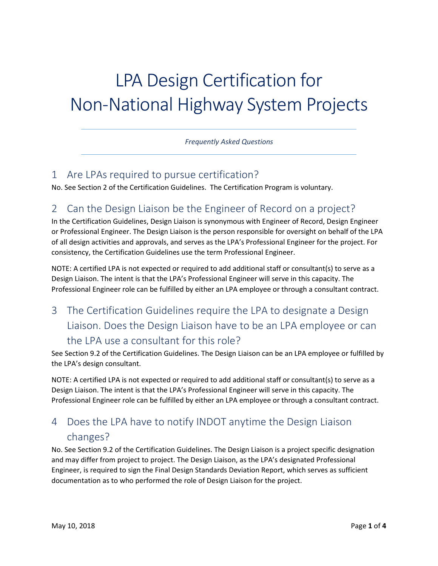# LPA Design Certification for Non-National Highway System Projects

*Frequently Asked Questions*

#### 1 Are LPAs required to pursue certification?

No. See Section 2 of the Certification Guidelines. The Certification Program is voluntary.

#### 2 Can the Design Liaison be the Engineer of Record on a project?

In the Certification Guidelines, Design Liaison is synonymous with Engineer of Record, Design Engineer or Professional Engineer. The Design Liaison is the person responsible for oversight on behalf of the LPA of all design activities and approvals, and serves as the LPA's Professional Engineer for the project. For consistency, the Certification Guidelines use the term Professional Engineer.

NOTE: A certified LPA is not expected or required to add additional staff or consultant(s) to serve as a Design Liaison. The intent is that the LPA's Professional Engineer will serve in this capacity. The Professional Engineer role can be fulfilled by either an LPA employee or through a consultant contract.

3 The Certification Guidelines require the LPA to designate a Design Liaison. Does the Design Liaison have to be an LPA employee or can the LPA use a consultant for this role?

See Section 9.2 of the Certification Guidelines. The Design Liaison can be an LPA employee or fulfilled by the LPA's design consultant.

NOTE: A certified LPA is not expected or required to add additional staff or consultant(s) to serve as a Design Liaison. The intent is that the LPA's Professional Engineer will serve in this capacity. The Professional Engineer role can be fulfilled by either an LPA employee or through a consultant contract.

## 4 Does the LPA have to notify INDOT anytime the Design Liaison changes?

No. See Section 9.2 of the Certification Guidelines. The Design Liaison is a project specific designation and may differ from project to project. The Design Liaison, as the LPA's designated Professional Engineer, is required to sign the Final Design Standards Deviation Report, which serves as sufficient documentation as to who performed the role of Design Liaison for the project.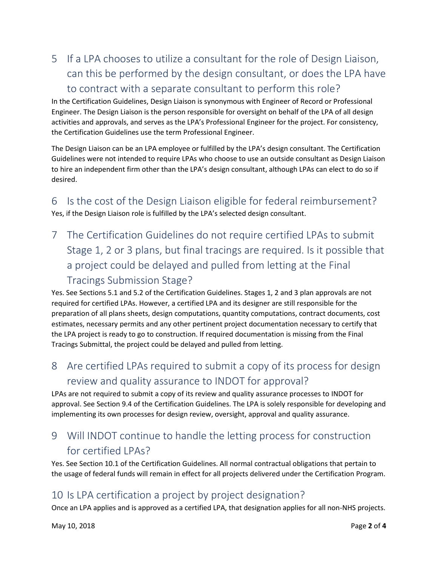## 5 If a LPA chooses to utilize a consultant for the role of Design Liaison, can this be performed by the design consultant, or does the LPA have to contract with a separate consultant to perform this role?

In the Certification Guidelines, Design Liaison is synonymous with Engineer of Record or Professional Engineer. The Design Liaison is the person responsible for oversight on behalf of the LPA of all design activities and approvals, and serves as the LPA's Professional Engineer for the project. For consistency, the Certification Guidelines use the term Professional Engineer.

The Design Liaison can be an LPA employee or fulfilled by the LPA's design consultant. The Certification Guidelines were not intended to require LPAs who choose to use an outside consultant as Design Liaison to hire an independent firm other than the LPA's design consultant, although LPAs can elect to do so if desired.

6 Is the cost of the Design Liaison eligible for federal reimbursement? Yes, if the Design Liaison role is fulfilled by the LPA's selected design consultant.

7 The Certification Guidelines do not require certified LPAs to submit Stage 1, 2 or 3 plans, but final tracings are required. Is it possible that a project could be delayed and pulled from letting at the Final Tracings Submission Stage?

Yes. See Sections 5.1 and 5.2 of the Certification Guidelines. Stages 1, 2 and 3 plan approvals are not required for certified LPAs. However, a certified LPA and its designer are still responsible for the preparation of all plans sheets, design computations, quantity computations, contract documents, cost estimates, necessary permits and any other pertinent project documentation necessary to certify that the LPA project is ready to go to construction. If required documentation is missing from the Final Tracings Submittal, the project could be delayed and pulled from letting.

8 Are certified LPAs required to submit a copy of its process for design review and quality assurance to INDOT for approval?

LPAs are not required to submit a copy of its review and quality assurance processes to INDOT for approval. See Section 9.4 of the Certification Guidelines. The LPA is solely responsible for developing and implementing its own processes for design review, oversight, approval and quality assurance.

## 9 Will INDOT continue to handle the letting process for construction for certified LPAs?

Yes. See Section 10.1 of the Certification Guidelines. All normal contractual obligations that pertain to the usage of federal funds will remain in effect for all projects delivered under the Certification Program.

#### 10 Is LPA certification a project by project designation?

Once an LPA applies and is approved as a certified LPA, that designation applies for all non-NHS projects.

May 10, 2018 Page **2** of **4**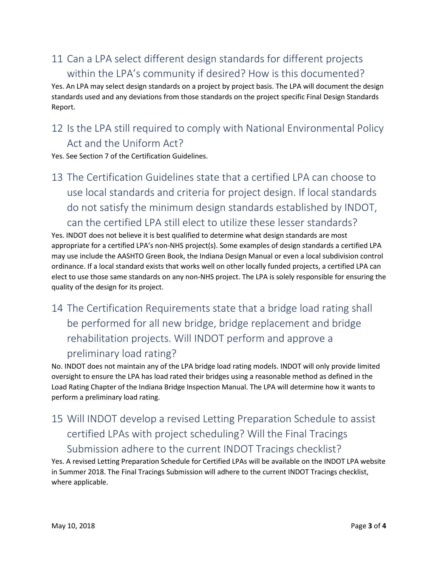## 11 Can a LPA select different design standards for different projects within the LPA's community if desired? How is this documented?

Yes. An LPA may select design standards on a project by project basis. The LPA will document the design standards used and any deviations from those standards on the project specific Final Design Standards Report.

### 12 Is the LPA still required to comply with National Environmental Policy Act and the Uniform Act?

Yes. See Section 7 of the Certification Guidelines.

13 The Certification Guidelines state that a certified LPA can choose to use local standards and criteria for project design. If local standards do not satisfy the minimum design standards established by INDOT, can the certified LPA still elect to utilize these lesser standards?

Yes. INDOT does not believe it is best qualified to determine what design standards are most appropriate for a certified LPA's non-NHS project(s). Some examples of design standards a certified LPA may use include the AASHTO Green Book, the Indiana Design Manual or even a local subdivision control ordinance. If a local standard exists that works well on other locally funded projects, a certified LPA can elect to use those same standards on any non-NHS project. The LPA is solely responsible for ensuring the quality of the design for its project.

# 14 The Certification Requirements state that a bridge load rating shall be performed for all new bridge, bridge replacement and bridge rehabilitation projects. Will INDOT perform and approve a preliminary load rating?

No. INDOT does not maintain any of the LPA bridge load rating models. INDOT will only provide limited oversight to ensure the LPA has load rated their bridges using a reasonable method as defined in the Load Rating Chapter of the Indiana Bridge Inspection Manual. The LPA will determine how it wants to perform a preliminary load rating.

# 15 Will INDOT develop a revised Letting Preparation Schedule to assist certified LPAs with project scheduling? Will the Final Tracings Submission adhere to the current INDOT Tracings checklist?

Yes. A revised Letting Preparation Schedule for Certified LPAs will be available on the INDOT LPA website in Summer 2018. The Final Tracings Submission will adhere to the current INDOT Tracings checklist, where applicable.